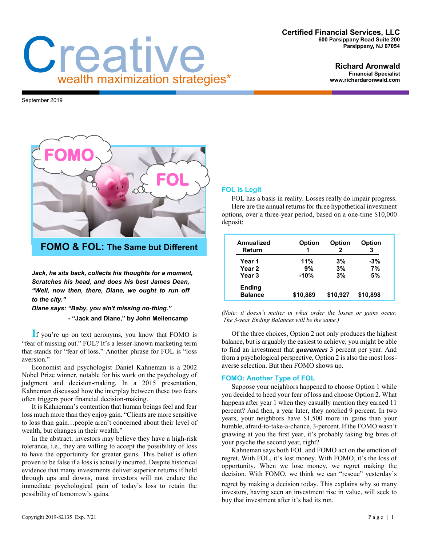### **Certified Financial Services, LLC 600 Parsippany Road Suite 200 Parsippany, NJ 07054**

#### **Richard Aronwald Financial Specialist www.richardaronwald.com**

September 2019



Creative wealth maximization strategies\*

**FOMO & FOL: The Same but Different**

*Jack, he sits back, collects his thoughts for a moment, Scratches his head, and does his best James Dean, "Well, now then, there, Diane, we ought to run off to the city."*

*Diane says: "Baby, you ain't missing no-thing."* **- "Jack and Diane," by John Mellencamp** 

**I**f you're up on text acronyms, you know that FOMO is "fear of missing out." FOL? It's a lesser-known marketing term that stands for "fear of loss." Another phrase for FOL is "loss aversion."

Economist and psychologist Daniel Kahneman is a 2002 Nobel Prize winner, notable for his work on the psychology of judgment and decision-making. In a 2015 presentation, Kahneman discussed how the interplay between these two fears often triggers poor financial decision-making.

It is Kahneman's contention that human beings feel and fear loss much more than they enjoy gain. "Clients are more sensitive to loss than gain…people aren't concerned about their level of wealth, but changes in their wealth."

In the abstract, investors may believe they have a high-risk tolerance, i.e., they are willing to accept the possibility of loss to have the opportunity for greater gains. This belief is often proven to be false if a loss is actually incurred. Despite historical evidence that many investments deliver superior returns if held through ups and downs, most investors will not endure the immediate psychological pain of today's loss to retain the possibility of tomorrow's gains.

# **FOL is Legit**

FOL has a basis in reality. Losses really do impair progress. Here are the annual returns for three hypothetical investment options, over a three-year period, based on a one-time \$10,000 deposit:

| Annualized<br>Return            | <b>Option</b><br>1 | <b>Option</b><br>2 | <b>Option</b><br>3 |
|---------------------------------|--------------------|--------------------|--------------------|
| Year 1                          | 11%                | 3%                 | $-3%$              |
| Year 2                          | 9%                 | 3%                 | 7%                 |
| Year <sub>3</sub>               | $-10%$             | 3%                 | 5%                 |
| <b>Ending</b><br><b>Balance</b> | \$10,889           | \$10,927           | \$10,898           |

*(Note: it doesn't matter in what order the losses or gains occur. The 3-year Ending Balances will be the same.)*

Of the three choices, Option 2 not only produces the highest balance, but is arguably the easiest to achieve; you might be able to find an investment that *guarantees* 3 percent per year. And from a psychological perspective, Option 2 is also the most lossaverse selection. But then FOMO shows up.

## **FOMO: Another Type of FOL**

Suppose your neighbors happened to choose Option 1 while you decided to heed your fear of loss and choose Option 2. What happens after year 1 when they casually mention they earned 11 percent? And then, a year later, they notched 9 percent. In two years, your neighbors have \$1,500 more in gains than your humble, afraid-to-take-a-chance, 3-percent. If the FOMO wasn't gnawing at you the first year, it's probably taking big bites of your psyche the second year, right?

Kahneman says both FOL and FOMO act on the emotion of regret. With FOL, it's lost money. With FOMO, it's the loss of opportunity. When we lose money, we regret making the decision. With FOMO, we think we can "rescue" yesterday's

regret by making a decision today. This explains why so many investors, having seen an investment rise in value, will seek to buy that investment after it's had its run.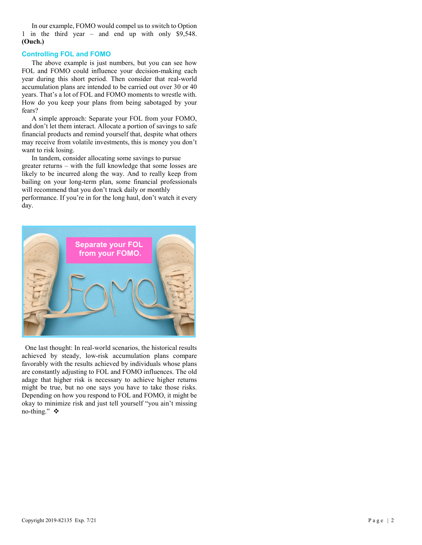In our example, FOMO would compel us to switch to Option 1 in the third year – and end up with only \$9,548. **(Ouch.)**

## **Controlling FOL and FOMO**

The above example is just numbers, but you can see how FOL and FOMO could influence your decision-making each year during this short period. Then consider that real-world accumulation plans are intended to be carried out over 30 or 40 years. That's a lot of FOL and FOMO moments to wrestle with. How do you keep your plans from being sabotaged by your fears?

A simple approach: Separate your FOL from your FOMO, and don't let them interact. Allocate a portion of savings to safe financial products and remind yourself that, despite what others may receive from volatile investments, this is money you don't want to risk losing.

In tandem, consider allocating some savings to pursue greater returns – with the full knowledge that some losses are likely to be incurred along the way. And to really keep from bailing on your long-term plan, some financial professionals will recommend that you don't track daily or monthly

performance. If you're in for the long haul, don't watch it every day.



 One last thought: In real-world scenarios, the historical results achieved by steady, low-risk accumulation plans compare favorably with the results achieved by individuals whose plans are constantly adjusting to FOL and FOMO influences. The old adage that higher risk is necessary to achieve higher returns might be true, but no one says you have to take those risks. Depending on how you respond to FOL and FOMO, it might be okay to minimize risk and just tell yourself "you ain't missing no-thing." ❖